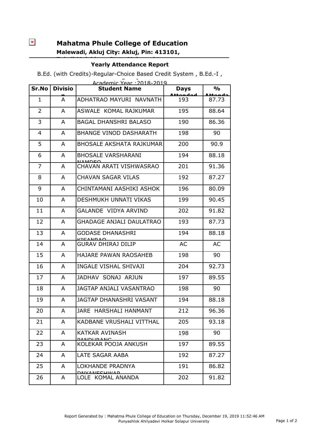$\pmb{\times}$ 

## **Mahatma Phule College of Education Malewadi, Akluj City: Akluj, Pin: 413101,**

## **Tehsil:Malshiras, State:Maharashtra Yearly Attendance Report**

B.Ed. (with Credits)-Regular-Choice Based Credit System , B.Ed.-I ,

| Academic Year : 2018-2019 |                |                                            |                                |               |  |  |  |
|---------------------------|----------------|--------------------------------------------|--------------------------------|---------------|--|--|--|
| Sr.No                     | <b>Divisio</b> | <b>Student Name</b>                        | <b>Days</b><br><u>Attandad</u> | $\frac{1}{2}$ |  |  |  |
| 1                         | A              | ADHATRAO MAYURI NAVNATH                    | 193                            | 87.73         |  |  |  |
| $\overline{2}$            | A              | ASWALE KOMAL RAJKUMAR                      | 195                            | 88.64         |  |  |  |
| 3                         | A              | <b>BAGAL DHANSHRI BALASO</b>               | 190                            | 86.36         |  |  |  |
| 4                         | A              | BHANGE VINOD DASHARATH                     | 198                            | 90            |  |  |  |
| 5                         | A              | BHOSALE AKSHATA RAJKUMAR                   | 200                            | 90.9          |  |  |  |
| 6                         | A              | <b>BHOSALE VARSHARANI</b><br><b>NAMDEQ</b> | 194                            | 88.18         |  |  |  |
| 7                         | A              | CHAVAN ARATI VISHWASRAO                    | 201                            | 91.36         |  |  |  |
| 8                         | A              | <b>CHAVAN SAGAR VILAS</b>                  | 192                            | 87.27         |  |  |  |
| 9                         | A              | CHINTAMANI AASHIKI ASHOK                   | 196                            | 80.09         |  |  |  |
| 10                        | A              | <b>DESHMUKH UNNATI VIKAS</b>               | 199                            | 90.45         |  |  |  |
| 11                        | A              | GALANDE VIDYA ARVIND                       | 202                            | 91.82         |  |  |  |
| 12                        | A              | <b>GHADAGE ANJALI DAULATRAO</b>            | 193                            | 87.73         |  |  |  |
| 13                        | A              | GODASE DHANASHRI<br>$V$ ICANDAO            | 194                            | 88.18         |  |  |  |
| 14                        | A              | <b>GURAV DHIRAJ DILIP</b>                  | AC                             | AC            |  |  |  |
| 15                        | A              | <b>HAJARE PAWAN RAOSAHEB</b>               | 198                            | 90            |  |  |  |
| 16                        | A              | <b>INGALE VISHAL SHIVAJI</b>               | 204                            | 92.73         |  |  |  |
| 17                        | A              | JADHAV SONAJ ARJUN                         | 197                            | 89.55         |  |  |  |
| 18                        | A              | JAGTAP ANJALI VASANTRAO                    | 198                            | 90            |  |  |  |
| 19                        | A              | JAGTAP DHANASHRI VASANT                    | 194                            | 88.18         |  |  |  |
| 20                        | A              | JARE HARSHALI HANMANT                      | 212                            | 96.36         |  |  |  |
| 21                        | A              | KADBANE VRUSHALI VITTHAL                   | 205                            | 93.18         |  |  |  |
| 22                        | A              | KATKAR AVINASH<br><b>DANDUDANC</b>         | 198                            | 90            |  |  |  |
| 23                        | A              | KOLEKAR POOJA ANKUSH                       | 197                            | 89.55         |  |  |  |
| 24                        | A              | LATE SAGAR AABA                            | 192                            | 87.27         |  |  |  |
| 25                        | A              | LOKHANDE PRADNYA                           | 191                            | 86.82         |  |  |  |
| 26                        | A              | <b>DNVANECHWAD</b><br>LOLE KOMAL ANANDA    | 202                            | 91.82         |  |  |  |